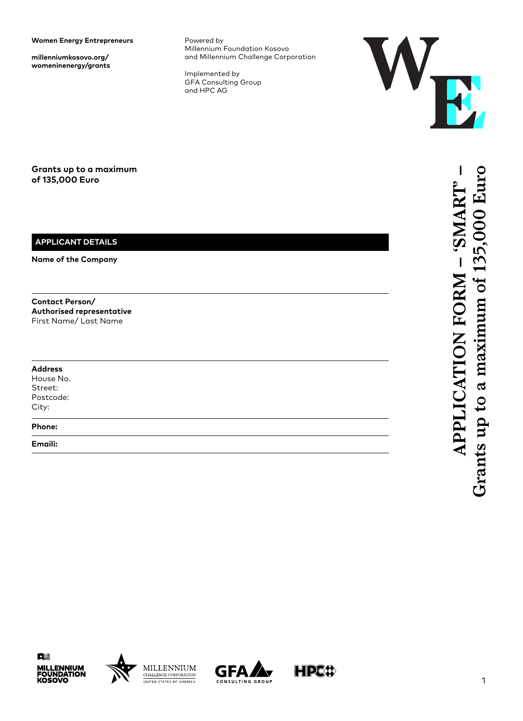**millenniumkosovo.org/ womeninenergy/grants** Powered by Millennium Foundation Kosovo and Millennium Challenge Corporation

Implemented by GFA Consulting Group and HPC AG



**Grants up to a maximum of 135,000 Euro**

# **APPLICANT DETAILS**

**Name of the Company**

**Contact Person/ Authorised representative** First Name/ Last Name

**Address** House No. Street: Postcode: City:

### **Phone:**

**Emaili:**

**Da MILLENNIUM<br>FOUNDATION<br>KOSOVO** 





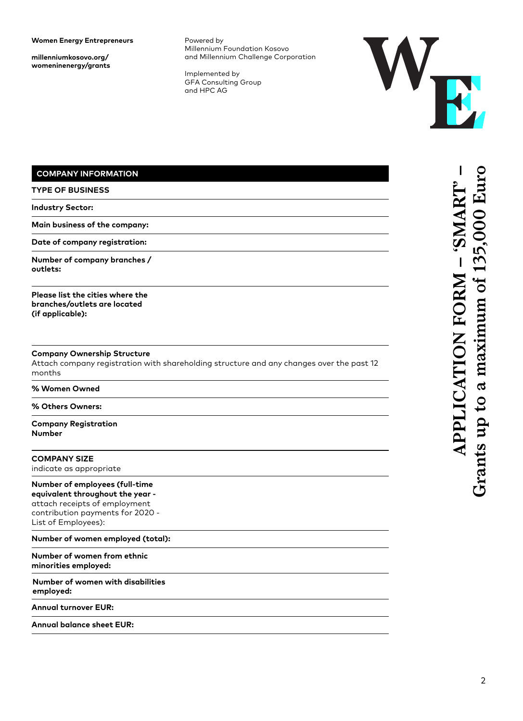**millenniumkosovo.org/ womeninenergy/grants** Powered by Millennium Foundation Kosovo and Millennium Challenge Corporation

Implemented by GFA Consulting Group and HPC AG



# **COMPANY INFORMATION**

#### **TYPE OF BUSINESS**

**Industry Sector:**

**Main business of the company:** 

**Date of company registration:** 

**Number of company branches / outlets:**

**Please list the cities where the branches/outlets are located (if applicable):**

#### **Company Ownership Structure**

Attach company registration with shareholding structure and any changes over the past 12 months

**% Women Owned**

**% Others Owners:**

**Company Registration Number**

**COMPANY SIZE** indicate as appropriate

#### **Number of employees (full-time equivalent throughout the year**  attach receipts of employment contribution payments for 2020 - List of Employees):

**Number of women employed (total):**

**Number of women from ethnic minorities employed:** 

**Number of women with disabilities employed:**

**Annual turnover EUR:** 

**Annual balance sheet EUR:**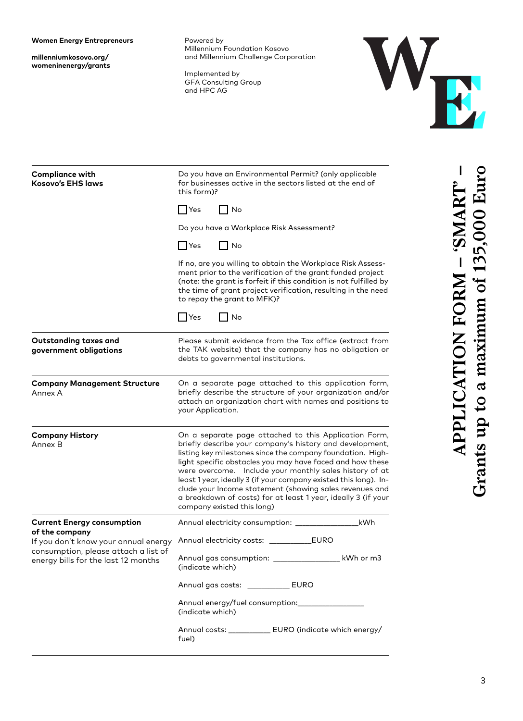**millenniumkosovo.org/ womeninenergy/grants** Powered by Millennium Foundation Kosovo and Millennium Challenge Corporation

Implemented by GFA Consulting Group and HPC AG



| <b>Compliance with</b><br><b>Kosovo's EHS laws</b>                                       | Do you have an Environmental Permit? (only applicable<br>for businesses active in the sectors listed at the end of<br>this form)?                                                                                                                                                                                                                                                                                                                                                                                                     |  |  |
|------------------------------------------------------------------------------------------|---------------------------------------------------------------------------------------------------------------------------------------------------------------------------------------------------------------------------------------------------------------------------------------------------------------------------------------------------------------------------------------------------------------------------------------------------------------------------------------------------------------------------------------|--|--|
|                                                                                          | Yes<br>No                                                                                                                                                                                                                                                                                                                                                                                                                                                                                                                             |  |  |
|                                                                                          | Do you have a Workplace Risk Assessment?                                                                                                                                                                                                                                                                                                                                                                                                                                                                                              |  |  |
|                                                                                          | $\Box$ No<br>$\blacksquare$ Yes                                                                                                                                                                                                                                                                                                                                                                                                                                                                                                       |  |  |
|                                                                                          | If no, are you willing to obtain the Workplace Risk Assess-<br>ment prior to the verification of the grant funded project<br>(note: the grant is forfeit if this condition is not fulfilled by<br>the time of grant project verification, resulting in the need<br>to repay the grant to MFK)?                                                                                                                                                                                                                                        |  |  |
|                                                                                          | <b>Yes</b><br>No                                                                                                                                                                                                                                                                                                                                                                                                                                                                                                                      |  |  |
| Outstanding taxes and<br>government obligations                                          | Please submit evidence from the Tax office (extract from<br>the TAK website) that the company has no obligation or<br>debts to governmental institutions.                                                                                                                                                                                                                                                                                                                                                                             |  |  |
| <b>Company Management Structure</b><br>Annex A                                           | On a separate page attached to this application form,<br>briefly describe the structure of your organization and/or<br>attach an organization chart with names and positions to<br>your Application.                                                                                                                                                                                                                                                                                                                                  |  |  |
| <b>Company History</b><br>Annex B                                                        | On a separate page attached to this Application Form,<br>briefly describe your company's history and development,<br>listing key milestones since the company foundation. High-<br>light specific obstacles you may have faced and how these<br>were overcome. Include your monthly sales history of at<br>least 1 year, ideally 3 (if your company existed this long). In-<br>clude your Income statement (showing sales revenues and<br>a breakdown of costs) for at least 1 year, ideally 3 (if your<br>company existed this long) |  |  |
| <b>Current Energy consumption</b>                                                        | kWh<br>Annual electricity consumption: _                                                                                                                                                                                                                                                                                                                                                                                                                                                                                              |  |  |
| of the company<br>If you don't know your annual energy Annual electricity costs: _______ | <b>EURO</b>                                                                                                                                                                                                                                                                                                                                                                                                                                                                                                                           |  |  |
| consumption, please attach a list of<br>energy bills for the last 12 months              | Annual gas consumption: ___________________ kWh or m3<br>(indicate which)                                                                                                                                                                                                                                                                                                                                                                                                                                                             |  |  |
|                                                                                          | Annual gas costs: ____________ EURO                                                                                                                                                                                                                                                                                                                                                                                                                                                                                                   |  |  |
|                                                                                          | Annual energy/fuel consumption: ___________________<br>(indicate which)                                                                                                                                                                                                                                                                                                                                                                                                                                                               |  |  |
|                                                                                          | Annual costs: ____________ EURO (indicate which energy/<br>fuel)                                                                                                                                                                                                                                                                                                                                                                                                                                                                      |  |  |
|                                                                                          |                                                                                                                                                                                                                                                                                                                                                                                                                                                                                                                                       |  |  |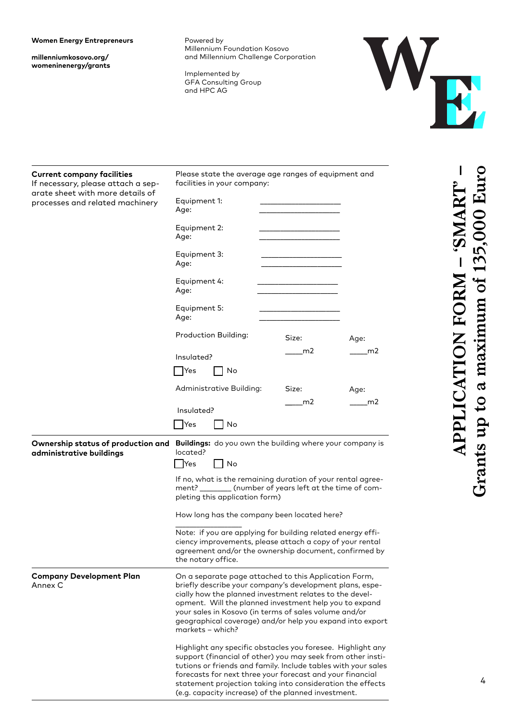**millenniumkosovo.org/ womeninenergy/grants** Powered by Millennium Foundation Kosovo and Millennium Challenge Corporation

Implemented by GFA Consulting Group and HPC AG



# **Current company facilities**

If necessary, please attach a arate sheet with more details processes and related machin

| sep-         | Please state the average age ranges of equipment and<br>facilities in your company:                                                                      |       |                |
|--------------|----------------------------------------------------------------------------------------------------------------------------------------------------------|-------|----------------|
| s of<br>nery | Equipment 1:<br>Age:                                                                                                                                     |       |                |
|              | Equipment 2:<br>Age:                                                                                                                                     |       |                |
|              | Equipment 3:<br>Age:                                                                                                                                     |       |                |
|              | Equipment 4:<br>Age:                                                                                                                                     |       |                |
|              | Equipment 5:<br>Age:                                                                                                                                     |       |                |
|              | Production Building:                                                                                                                                     | Size: | Age:           |
|              | Insulated?                                                                                                                                               | m2    | m <sub>2</sub> |
|              | <b>Yes</b><br>No                                                                                                                                         |       |                |
|              | Administrative Building:                                                                                                                                 | Size: | Age:           |
|              | Insulated?                                                                                                                                               | m2    | m <sub>2</sub> |
|              | <b>Yes</b><br><b>No</b>                                                                                                                                  |       |                |
| ion and      | <b>Buildings:</b> do you own the building where your company is<br>located?                                                                              |       |                |
|              | <b>TYes</b><br>    No                                                                                                                                    |       |                |
|              | If no, what is the remaining duration of your rental agree<br>ment? ________ (number of years left at the time of com-<br>pleting this application form) |       |                |
|              | How long has the company been located here?                                                                                                              |       |                |

**APPLICATION FORM – 'SMART' –**  Grants up to a maximum of 135,000 Euro **Grants up to a maximum of 135,000 Euro** APPLICATION FORM - 'SMART'

|                                                                | Yes<br>No                                                                                                                                                                                                                                                                                                                                                                        |
|----------------------------------------------------------------|----------------------------------------------------------------------------------------------------------------------------------------------------------------------------------------------------------------------------------------------------------------------------------------------------------------------------------------------------------------------------------|
| Ownership status of production and<br>administrative buildings | <b>Buildings:</b> do you own the building where your company is<br>located?<br><b>Yes</b><br>No                                                                                                                                                                                                                                                                                  |
|                                                                | If no, what is the remaining duration of your rental agree-<br>ment? ________ (number of years left at the time of com-<br>pleting this application form)                                                                                                                                                                                                                        |
|                                                                | How long has the company been located here?                                                                                                                                                                                                                                                                                                                                      |
|                                                                | Note: if you are applying for building related energy effi-<br>ciency improvements, please attach a copy of your rental<br>agreement and/or the ownership document, confirmed by<br>the notary office.                                                                                                                                                                           |
| <b>Company Development Plan</b><br>Annex C                     | On a separate page attached to this Application Form,<br>briefly describe your company's development plans, espe-<br>cially how the planned investment relates to the devel-<br>opment. Will the planned investment help you to expand<br>your sales in Kosovo (in terms of sales volume and/or<br>geographical coverage) and/or help you expand into export<br>markets - which? |
|                                                                | Highlight any specific obstacles you foresee. Highlight any<br>support (financial of other) you may seek from other insti-<br>tutions or friends and family. Include tables with your sales<br>forecasts for next three your forecast and your financial<br>statement projection taking into consideration the effects<br>(e.g. capacity increase) of the planned investment.    |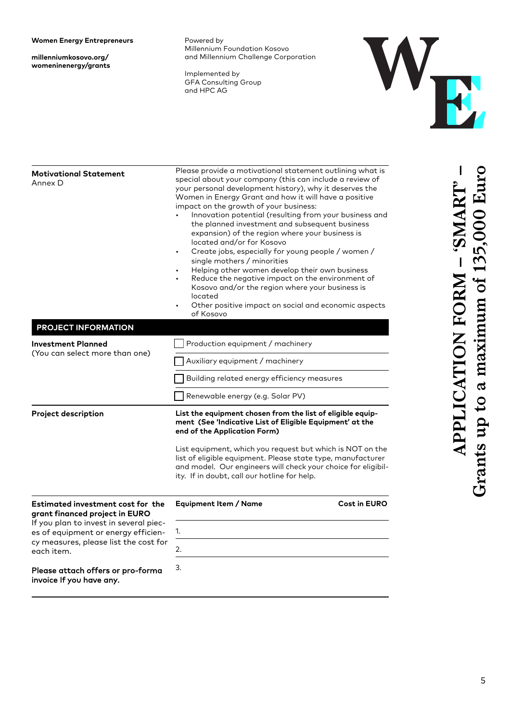**millenniumkosovo.org/ womeninenergy/grants** Powered by Millennium Foundation Kosovo and Millennium Challenge Corporation

Implemented by GFA Consulting Group and HPC AG



| <b>Motivational Statement</b><br>Annex D                                                                                                                                                                    | Please provide a motivational statement outlining what is<br>special about your company (this can include a review of<br>your personal development history), why it deserves the<br>Women in Energy Grant and how it will have a positive<br>impact on the growth of your business:<br>Innovation potential (resulting from your business and<br>the planned investment and subsequent business<br>expansion) of the region where your business is<br>located and/or for Kosovo<br>Create jobs, especially for young people / women /<br>$\bullet$<br>single mothers / minorities<br>Helping other women develop their own business<br>Reduce the negative impact on the environment of<br>Kosovo and/or the region where your business is<br>located<br>Other positive impact on social and economic aspects<br>of Kosovo |  |  |
|-------------------------------------------------------------------------------------------------------------------------------------------------------------------------------------------------------------|----------------------------------------------------------------------------------------------------------------------------------------------------------------------------------------------------------------------------------------------------------------------------------------------------------------------------------------------------------------------------------------------------------------------------------------------------------------------------------------------------------------------------------------------------------------------------------------------------------------------------------------------------------------------------------------------------------------------------------------------------------------------------------------------------------------------------|--|--|
| <b>PROJECT INFORMATION</b>                                                                                                                                                                                  |                                                                                                                                                                                                                                                                                                                                                                                                                                                                                                                                                                                                                                                                                                                                                                                                                            |  |  |
| <b>Investment Planned</b><br>(You can select more than one)                                                                                                                                                 | Production equipment / machinery                                                                                                                                                                                                                                                                                                                                                                                                                                                                                                                                                                                                                                                                                                                                                                                           |  |  |
|                                                                                                                                                                                                             | Auxiliary equipment / machinery                                                                                                                                                                                                                                                                                                                                                                                                                                                                                                                                                                                                                                                                                                                                                                                            |  |  |
|                                                                                                                                                                                                             | Building related energy efficiency measures                                                                                                                                                                                                                                                                                                                                                                                                                                                                                                                                                                                                                                                                                                                                                                                |  |  |
|                                                                                                                                                                                                             | Renewable energy (e.g. Solar PV)                                                                                                                                                                                                                                                                                                                                                                                                                                                                                                                                                                                                                                                                                                                                                                                           |  |  |
| <b>Project description</b>                                                                                                                                                                                  | List the equipment chosen from the list of eligible equip-<br>ment (See 'Indicative List of Eligible Equipment' at the<br>end of the Application Form)<br>List equipment, which you request but which is NOT on the<br>list of eligible equipment. Please state type, manufacturer<br>and model. Our engineers will check your choice for eligibil-<br>ity. If in doubt, call our hotline for help.                                                                                                                                                                                                                                                                                                                                                                                                                        |  |  |
| Estimated investment cost for the<br>grant financed project in EURO<br>If you plan to invest in several piec-<br>es of equipment or energy efficien-<br>cy measures, please list the cost for<br>each item. | <b>Cost in EURO</b><br>Equipment Item / Name                                                                                                                                                                                                                                                                                                                                                                                                                                                                                                                                                                                                                                                                                                                                                                               |  |  |
|                                                                                                                                                                                                             | 1.                                                                                                                                                                                                                                                                                                                                                                                                                                                                                                                                                                                                                                                                                                                                                                                                                         |  |  |
|                                                                                                                                                                                                             | 2.                                                                                                                                                                                                                                                                                                                                                                                                                                                                                                                                                                                                                                                                                                                                                                                                                         |  |  |
| Please attach offers or pro-forma<br>invoice If you have any.                                                                                                                                               | 3.                                                                                                                                                                                                                                                                                                                                                                                                                                                                                                                                                                                                                                                                                                                                                                                                                         |  |  |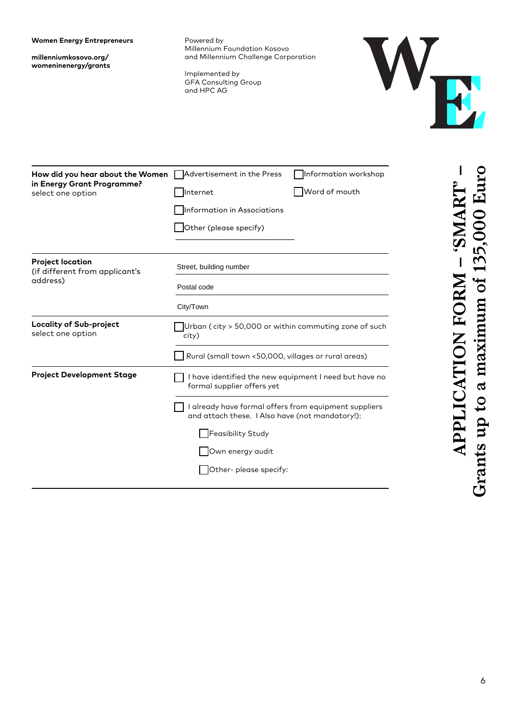**millenniumkosovo.org/ womeninenergy/grants** Powered by Millennium Foundation Kosovo and Millennium Challenge Corporation

Implemented by GFA Consulting Group and HPC AG



| How did you hear about the Women<br>in Energy Grant Programme?<br>select one option | Advertisement in the Press                                                                               | Information workshop |  |
|-------------------------------------------------------------------------------------|----------------------------------------------------------------------------------------------------------|----------------------|--|
|                                                                                     | Internet                                                                                                 | Word of mouth        |  |
|                                                                                     | Information in Associations                                                                              |                      |  |
|                                                                                     | Other (please specify)                                                                                   |                      |  |
| <b>Project location</b><br>(if different from applicant's<br>address)               | Street, building number                                                                                  |                      |  |
|                                                                                     | Postal code                                                                                              |                      |  |
|                                                                                     | City/Town                                                                                                |                      |  |
| <b>Locality of Sub-project</b><br>select one option                                 | Urban (city > 50,000 or within commuting zone of such<br>city)                                           |                      |  |
|                                                                                     | Rural (small town <50,000, villages or rural areas)                                                      |                      |  |
| <b>Project Development Stage</b>                                                    | I have identified the new equipment I need but have no<br>formal supplier offers yet                     |                      |  |
|                                                                                     | I already have formal offers from equipment suppliers<br>and attach these. I Also have (not mandatory!): |                      |  |
|                                                                                     | Feasibility Study                                                                                        |                      |  |
|                                                                                     | Own energy audit                                                                                         |                      |  |
|                                                                                     | Other- please specify:                                                                                   |                      |  |
|                                                                                     |                                                                                                          |                      |  |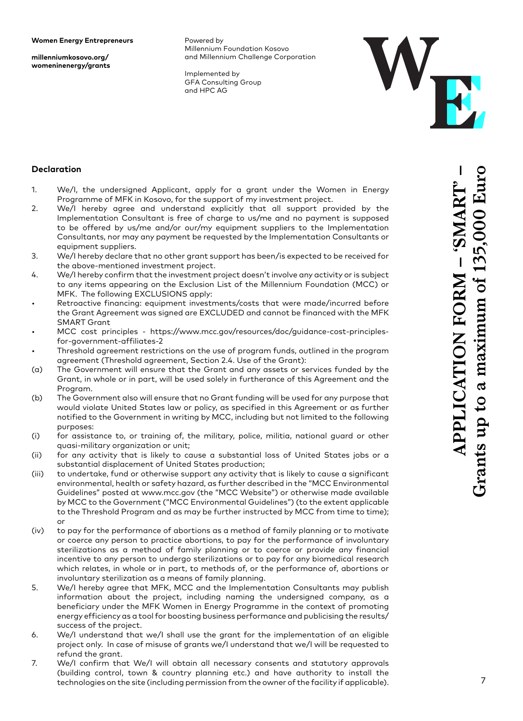**millenniumkosovo.org/ womeninenergy/grants** Powered by Millennium Foundation Kosovo and Millennium Challenge Corporation

Implemented by GFA Consulting Group and HPC AG



# **Declaration**

- 1. We/I, the undersigned Applicant, apply for a grant under the Women in Energy Programme of MFK in Kosovo, for the support of my investment project.
- 2. We/I hereby agree and understand explicitly that all support provided by the Implementation Consultant is free of charge to us/me and no payment is supposed to be offered by us/me and/or our/my equipment suppliers to the Implementation Consultants, nor may any payment be requested by the Implementation Consultants or equipment suppliers.
- 3. We/I hereby declare that no other grant support has been/is expected to be received for the above-mentioned investment project.
- 4. We/I hereby confirm that the investment project doesn't involve any activity or is subject to any items appearing on the Exclusion List of the Millennium Foundation (MCC) or MFK. The following EXCLUSIONS apply:
- Retroactive financing: equipment investments/costs that were made/incurred before the Grant Agreement was signed are EXCLUDED and cannot be financed with the MFK SMART Grant
- MCC cost principles https://www.mcc.gov/resources/doc/guidance-cost-principlesfor-government-affiliates-2
- Threshold agreement restrictions on the use of program funds, outlined in the program agreement (Threshold agreement, Section 2.4. Use of the Grant):
- (a) The Government will ensure that the Grant and any assets or services funded by the Grant, in whole or in part, will be used solely in furtherance of this Agreement and the Program.
- (b) The Government also will ensure that no Grant funding will be used for any purpose that would violate United States law or policy, as specified in this Agreement or as further notified to the Government in writing by MCC, including but not limited to the following purposes:
- (i) for assistance to, or training of, the military, police, militia, national guard or other quasi-military organization or unit;
- (ii) for any activity that is likely to cause a substantial loss of United States jobs or a substantial displacement of United States production;
- (iii) to undertake, fund or otherwise support any activity that is likely to cause a significant environmental, health or safety hazard, as further described in the "MCC Environmental Guidelines" posted at www.mcc.gov (the "MCC Website") or otherwise made available by MCC to the Government ("MCC Environmental Guidelines") (to the extent applicable to the Threshold Program and as may be further instructed by MCC from time to time); or
- (iv) to pay for the performance of abortions as a method of family planning or to motivate or coerce any person to practice abortions, to pay for the performance of involuntary sterilizations as a method of family planning or to coerce or provide any financial incentive to any person to undergo sterilizations or to pay for any biomedical research which relates, in whole or in part, to methods of, or the performance of, abortions or involuntary sterilization as a means of family planning.
- 5. We/I hereby agree that MFK, MCC and the Implementation Consultants may publish information about the project, including naming the undersigned company, as a beneficiary under the MFK Women in Energy Programme in the context of promoting energy efficiency as a tool for boosting business performance and publicising the results/ success of the project.
- 6. We/I understand that we/I shall use the grant for the implementation of an eligible project only. In case of misuse of grants we/I understand that we/I will be requested to refund the grant.
- 7. We/I confirm that We/I will obtain all necessary consents and statutory approvals (building control, town & country planning etc.) and have authority to install the technologies on the site (including permission from the owner of the facility if applicable).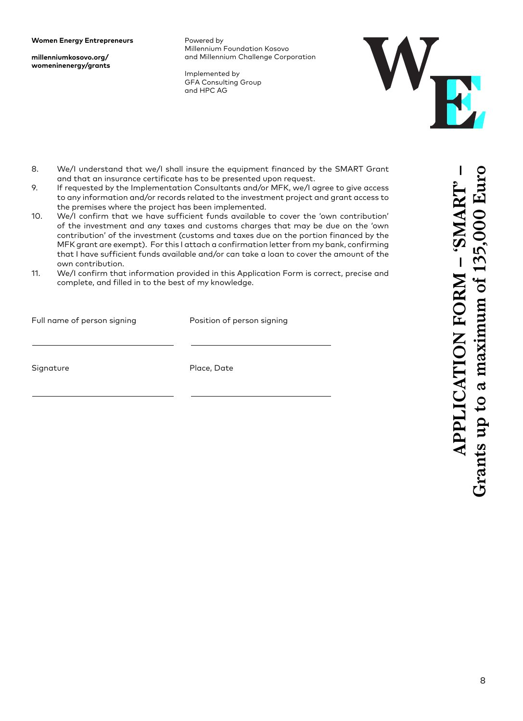**millenniumkosovo.org/ womeninenergy/grants** Powered by Millennium Foundation Kosovo and Millennium Challenge Corporation

Implemented by GFA Consulting Group and HPC AG



- 8. We/I understand that we/I shall insure the equipment financed by the SMART Grant and that an insurance certificate has to be presented upon request.
- 9. If requested by the Implementation Consultants and/or MFK, we/I agree to give access to any information and/or records related to the investment project and grant access to the premises where the project has been implemented.
- 10. We/I confirm that we have sufficient funds available to cover the 'own contribution' of the investment and any taxes and customs charges that may be due on the 'own contribution' of the investment (customs and taxes due on the portion financed by the MFK grant are exempt). For this I attach a confirmation letter from my bank, confirming that I have sufficient funds available and/or can take a loan to cover the amount of the own contribution.
- 11. We/I confirm that information provided in this Application Form is correct, precise and complete, and filled in to the best of my knowledge.

Full name of person signing Position of person signing

Signature Place, Date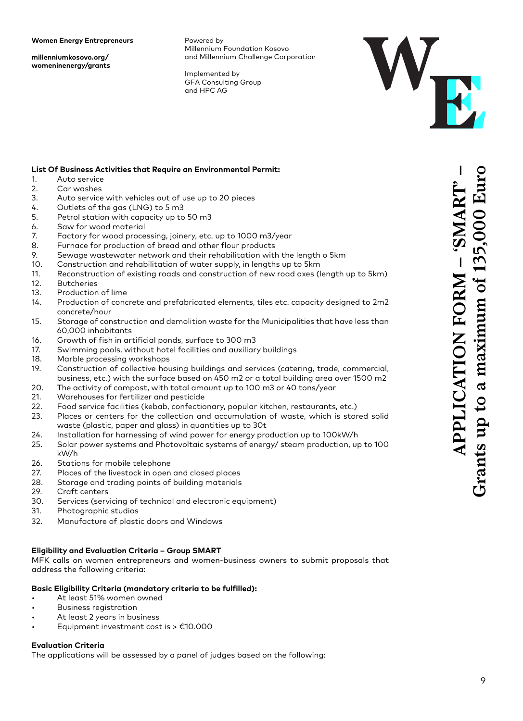**millenniumkosovo.org/ womeninenergy/grants** Powered by Millennium Foundation Kosovo and Millennium Challenge Corporation

Implemented by GFA Consulting Group and HPC AG



# **List Of Business Activities that Require an Environmental Permit:**

- 1. Auto service
- 2. Car washes
- 3. Auto service with vehicles out of use up to 20 pieces
- 4. Outlets of the gas (LNG) to 5 m3<br>5. Petrol station with capacity up to
- Petrol station with capacity up to 50 m3
- 6. Saw for wood material
- 7. Factory for wood processing, joinery, etc. up to 1000 m3/year
- 8. Furnace for production of bread and other flour products
- 9. Sewage wastewater network and their rehabilitation with the length o 5km
- 10. Construction and rehabilitation of water supply, in lengths up to 5km
- 11. Reconstruction of existing roads and construction of new road axes (length up to 5km) 12. Butcheries
- 13. Production of lime
- 14. Production of concrete and prefabricated elements, tiles etc. capacity designed to 2m2 concrete/hour
- 15. Storage of construction and demolition waste for the Municipalities that have less than 60,000 inhabitants
- 16. Growth of fish in artificial ponds, surface to 300 m3
- 17. Swimming pools, without hotel facilities and auxiliary buildings
- 18. Marble processing workshops
- 19. Construction of collective housing buildings and services (catering, trade, commercial, business, etc.) with the surface based on 450 m2 or a total building area over 1500 m2
- 20. The activity of compost, with total amount up to 100 m3 or 40 tons/year
- 21. Warehouses for fertilizer and pesticide
- 22. Food service facilities (kebab, confectionary, popular kitchen, restaurants, etc.)
- 23. Places or centers for the collection and accumulation of waste, which is stored solid waste (plastic, paper and glass) in quantities up to 30t
- 24. Installation for harnessing of wind power for energy production up to 100kW/h
- 25. Solar power systems and Photovoltaic systems of energy/ steam production, up to 100 kW/h
- 26. Stations for mobile telephone
- 27. Places of the livestock in open and closed places
- 28. Storage and trading points of building materials
- 29. Craft centers
- 30. Services (servicing of technical and electronic equipment)
- 31. Photographic studios
- 32. Manufacture of plastic doors and Windows

# **Eligibility and Evaluation Criteria – Group SMART**

MFK calls on women entrepreneurs and women-business owners to submit proposals that address the following criteria:

#### **Basic Eligibility Criteria (mandatory criteria to be fulfilled):**

- At least 51% women owned
- Business registration
- At least 2 years in business
- Equipment investment cost is > €10.000

# **Evaluation Criteria**

The applications will be assessed by a panel of judges based on the following: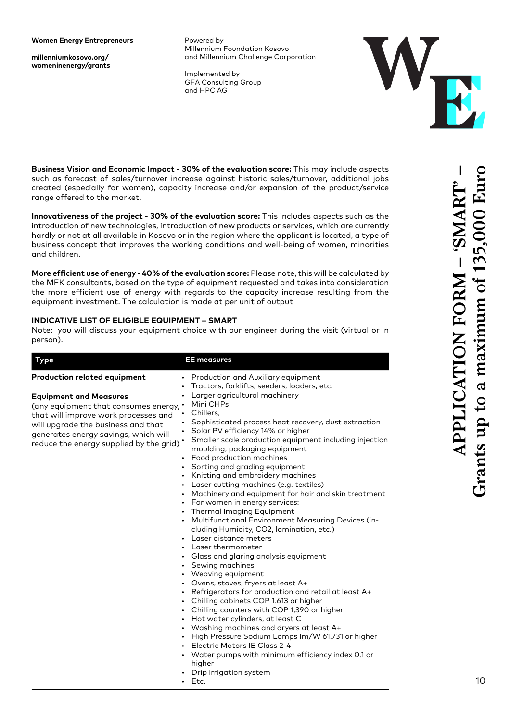**millenniumkosovo.org/ womeninenergy/grants** Powered by Millennium Foundation Kosovo and Millennium Challenge Corporation

Implemented by GFA Consulting Group and HPC AG



**Business Vision and Economic Impact - 30% of the evaluation score:** This may include aspects such as forecast of sales/turnover increase against historic sales/turnover, additional jobs created (especially for women), capacity increase and/or expansion of the product/service range offered to the market.

**Innovativeness of the project - 30% of the evaluation score:** This includes aspects such as the introduction of new technologies, introduction of new products or services, which are currently hardly or not at all available in Kosovo or in the region where the applicant is located, a type of business concept that improves the working conditions and well-being of women, minorities and children.

**More efficient use of energy - 40% of the evaluation score:** Please note, this will be calculated by the MFK consultants, based on the type of equipment requested and takes into consideration the more efficient use of energy with regards to the capacity increase resulting from the equipment investment. The calculation is made at per unit of output

# **INDICATIVE LIST OF ELIGIBLE EQUIPMENT – SMART**

Note: you will discuss your equipment choice with our engineer during the visit (virtual or in person).

# **Type EE measures**

#### **Equipment and Measures**

(any equipment that consumes energy, that will improve work processes and will upgrade the business and that generates energy savings, which will reduce the energy supplied by the grid)

- Production and Auxiliary equipment
- Tractors, forklifts, seeders, loaders, etc.
- Larger agricultural machinery
- Mini CHPs
- Chillers,
- Sophisticated process heat recovery, dust extraction
- Solar PV efficiency 14% or higher
- Smaller scale production equipment including injection moulding, packaging equipment
- Food production machines
- Sorting and grading equipment
- Knitting and embroidery machines
- Laser cutting machines (e.g. textiles)
- Machinery and equipment for hair and skin treatment
- For women in energy services:
- Thermal Imaging Equipment
- Multifunctional Environment Measuring Devices (including Humidity, CO2, lamination, etc.)
- Laser distance meters
- Laser thermometer
- Glass and glaring analysis equipment
- Sewing machines
- Weaving equipment
- Ovens, stoves, fryers at least A+
- Refrigerators for production and retail at least A+
- Chilling cabinets COP 1.613 or higher
- Chilling counters with COP 1,390 or higher
- Hot water cylinders, at least C
- Washing machines and dryers at least A+
- High Pressure Sodium Lamps Im/W 61.731 or higher
- Electric Motors IE Class 2-4
- Water pumps with minimum efficiency index 0.1 or higher
- Drip irrigation system
- Etc.